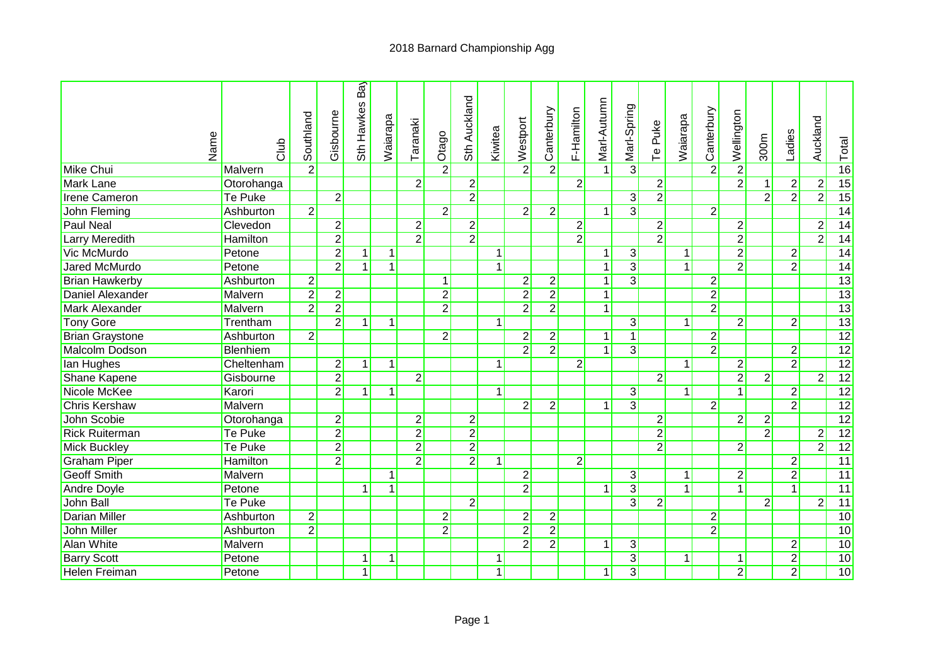## 2018 Barnard Championship Agg

| Name                   | <b>Club</b>     | Southland      | Gisbourne      | Ba<br>Sth Hawkes | Waiarapa     | Taranaki       | Otago          | Sth Auckland   | Kiwitea        | Westport       | Canterbury     | F-Hamilton     | Marl-Autumn    | Marl-Spring    | Puke<br>$\overline{P}$ | Waiarapa     | Canterbury     | Wellington     | 300m           | Ladies         | Auckland       | $\frac{1}{2}$ Total |
|------------------------|-----------------|----------------|----------------|------------------|--------------|----------------|----------------|----------------|----------------|----------------|----------------|----------------|----------------|----------------|------------------------|--------------|----------------|----------------|----------------|----------------|----------------|---------------------|
| Mike Chui              | Malvern         | $\overline{2}$ |                |                  |              |                | $\overline{2}$ |                |                | $2\vert$       | $\overline{2}$ |                |                | $\overline{3}$ |                        |              | $\overline{2}$ | $\overline{2}$ |                |                |                |                     |
| Mark Lane              | Otorohanga      |                |                |                  |              | $\overline{2}$ |                | $\overline{2}$ |                |                |                | $\overline{2}$ |                |                | $\overline{2}$         |              |                | $\overline{2}$ | $\vert$        | $2\vert$       | $\overline{2}$ | 15                  |
| <b>Irene Cameron</b>   | Te Puke         |                | $\overline{2}$ |                  |              |                |                | $\overline{2}$ |                |                |                |                |                | $\overline{3}$ | $\overline{2}$         |              |                |                | $\overline{2}$ | $\overline{2}$ | $\overline{2}$ | 15                  |
| John Fleming           | Ashburton       | $\overline{2}$ |                |                  |              |                | $\overline{2}$ |                |                | $\overline{2}$ | $2\vert$       |                | $\overline{1}$ | $\overline{3}$ |                        |              | $\overline{2}$ |                |                |                |                | 14                  |
| <b>Paul Neal</b>       | Clevedon        |                | $\mathbf{2}$   |                  |              | $\overline{2}$ |                | $\overline{2}$ |                |                |                | $\overline{2}$ |                |                | $\overline{2}$         |              |                | $\mathbf{2}$   |                |                | $\overline{2}$ | 14                  |
| Larry Meredith         | <b>Hamilton</b> |                | $\overline{2}$ |                  |              | $\overline{2}$ |                | $\overline{2}$ |                |                |                | $\overline{2}$ |                |                | $\overline{2}$         |              |                | $\overline{2}$ |                |                | $\overline{2}$ | $\overline{14}$     |
| Vic McMurdo            | Petone          |                | $\overline{2}$ | $\mathbf{1}$     | $\mathbf{1}$ |                |                |                | $\mathbf{1}$   |                |                |                | $\mathbf{1}$   | $\overline{3}$ |                        | $\mathbf{1}$ |                | $\overline{2}$ |                | $\overline{2}$ |                | 14                  |
| <b>Jared McMurdo</b>   | Petone          |                | $\overline{2}$ | $\mathbf{1}$     | $\mathbf{1}$ |                |                |                | $\overline{1}$ |                |                |                | $\mathbf{1}$   | $\overline{3}$ |                        | $\mathbf{1}$ |                | $\overline{2}$ |                | $\overline{2}$ |                | 14                  |
| <b>Brian Hawkerby</b>  | Ashburton       | $\overline{2}$ |                |                  |              |                | $\overline{1}$ |                |                | $2\vert$       | $\overline{2}$ |                | $\vert$        | $\overline{3}$ |                        |              | $\overline{2}$ |                |                |                |                | $\overline{13}$     |
| Daniel Alexander       | Malvern         | $\overline{2}$ | $\overline{c}$ |                  |              |                | $\overline{2}$ |                |                | $\overline{2}$ | $\overline{2}$ |                | 1              |                |                        |              | $\overline{2}$ |                |                |                |                | $\overline{13}$     |
| Mark Alexander         | Malvern         | $\overline{2}$ | $\overline{2}$ |                  |              |                | $\overline{2}$ |                |                | $\overline{2}$ | $\overline{2}$ |                | $\mathbf{1}$   |                |                        |              | $\overline{2}$ |                |                |                |                | $\overline{13}$     |
| <b>Tony Gore</b>       | Trentham        |                | $\overline{2}$ | $\mathbf{1}$     | 1            |                |                |                | $\mathbf{1}$   |                |                |                |                | $\overline{3}$ |                        | $\vert$ 1    |                | $\overline{2}$ |                | $\overline{2}$ |                | $\overline{13}$     |
| <b>Brian Graystone</b> | Ashburton       | $\overline{2}$ |                |                  |              |                | $\overline{2}$ |                |                | $\overline{2}$ | $\overline{2}$ |                | $\mathbf{1}$   | $\overline{1}$ |                        |              | $\overline{2}$ |                |                |                |                | 12                  |
| Malcolm Dodson         | Blenhiem        |                |                |                  |              |                |                |                |                | $\overline{2}$ | $\overline{2}$ |                | $\mathbf{1}$   | $\overline{3}$ |                        |              | $\overline{2}$ |                |                | 2              |                | 12                  |
| lan Hughes             | Cheltenham      |                | $\overline{c}$ | $\mathbf{1}$     | $\mathbf{1}$ |                |                |                | 1              |                |                | $\overline{2}$ |                |                |                        | 1            |                | $2\vert$       |                | $\overline{2}$ |                | 12                  |
| Shane Kapene           | Gisbourne       |                | $\overline{2}$ |                  |              | $\overline{2}$ |                |                |                |                |                |                |                |                | $\overline{2}$         |              |                | $\overline{2}$ | $\overline{2}$ |                | $\overline{2}$ | 12                  |
| Nicole McKee           | Karori          |                | $\overline{2}$ | 1                | $\mathbf 1$  |                |                |                | $\mathbf{1}$   |                |                |                |                | $\overline{3}$ |                        | 1            |                | 1              |                | $\overline{2}$ |                | 12                  |
| <b>Chris Kershaw</b>   | Malvern         |                |                |                  |              |                |                |                |                | $\overline{2}$ | $\overline{2}$ |                | 1              | $\overline{3}$ |                        |              | $\overline{2}$ |                |                | $\overline{2}$ |                | $\overline{12}$     |
| John Scobie            | Otorohanga      |                | $\overline{2}$ |                  |              | $\overline{2}$ |                | $\overline{2}$ |                |                |                |                |                |                | $\overline{2}$         |              |                | $\overline{2}$ | $\overline{2}$ |                |                | $\overline{12}$     |
| <b>Rick Ruiterman</b>  | Te Puke         |                | $\overline{2}$ |                  |              | $\overline{2}$ |                | $\overline{2}$ |                |                |                |                |                |                | $\overline{2}$         |              |                |                | $\overline{2}$ |                | $\overline{2}$ | $\overline{12}$     |
| <b>Mick Buckley</b>    | Te Puke         |                | $\overline{2}$ |                  |              | $\overline{2}$ |                | $\overline{2}$ |                |                |                |                |                |                | $\overline{2}$         |              |                | $\overline{2}$ |                |                | $\overline{2}$ | $\overline{12}$     |
| <b>Graham Piper</b>    | <b>Hamilton</b> |                | $\overline{2}$ |                  |              | $\overline{2}$ |                | $\overline{2}$ | $\vert$ 1      |                |                | $\overline{2}$ |                |                |                        |              |                |                |                | $\overline{2}$ |                | 11                  |
| <b>Geoff Smith</b>     | Malvern         |                |                |                  | 1            |                |                |                |                | $\mathbf{2}$   |                |                |                | $\overline{3}$ |                        | 1            |                | $\overline{2}$ |                | $\overline{2}$ |                | 11                  |
| <b>Andre Doyle</b>     | Petone          |                |                | $\mathbf 1$      | $\mathbf 1$  |                |                |                |                | $\overline{2}$ |                |                | $\overline{1}$ | $\overline{3}$ |                        | 1            |                | $\overline{1}$ |                | $\overline{1}$ |                | $\overline{11}$     |
| <b>John Ball</b>       | Te Puke         |                |                |                  |              |                |                | $\overline{2}$ |                |                |                |                |                | $\overline{3}$ | $\overline{2}$         |              |                |                | $\overline{2}$ |                | $\overline{2}$ | 11                  |
| <b>Darian Miller</b>   | Ashburton       | $\overline{2}$ |                |                  |              |                | $\overline{2}$ |                |                | $\overline{2}$ | $\overline{2}$ |                |                |                |                        |              | $\overline{2}$ |                |                |                |                | 10                  |
| <b>John Miller</b>     | Ashburton       | $\overline{2}$ |                |                  |              |                | $\overline{2}$ |                |                | $\overline{2}$ | $\overline{2}$ |                |                |                |                        |              | $\overline{2}$ |                |                |                |                | 10                  |
| <b>Alan White</b>      | <b>Malvern</b>  |                |                |                  |              |                |                |                |                | $\overline{2}$ | $\overline{2}$ |                | $\mathbf{1}$   | 3              |                        |              |                |                |                | $\overline{2}$ |                | 10                  |
| <b>Barry Scott</b>     | Petone          |                |                | 1                | $\mathbf 1$  |                |                |                | 1              |                |                |                |                | $\overline{3}$ |                        | $\mathbf{1}$ |                | 1              |                | $\overline{2}$ |                | 10                  |
| <b>Helen Freiman</b>   | Petone          |                |                | $\mathbf{1}$     |              |                |                |                | 1              |                |                |                | 1              | $\overline{3}$ |                        |              |                | $\overline{2}$ |                | $\overline{2}$ |                | 10                  |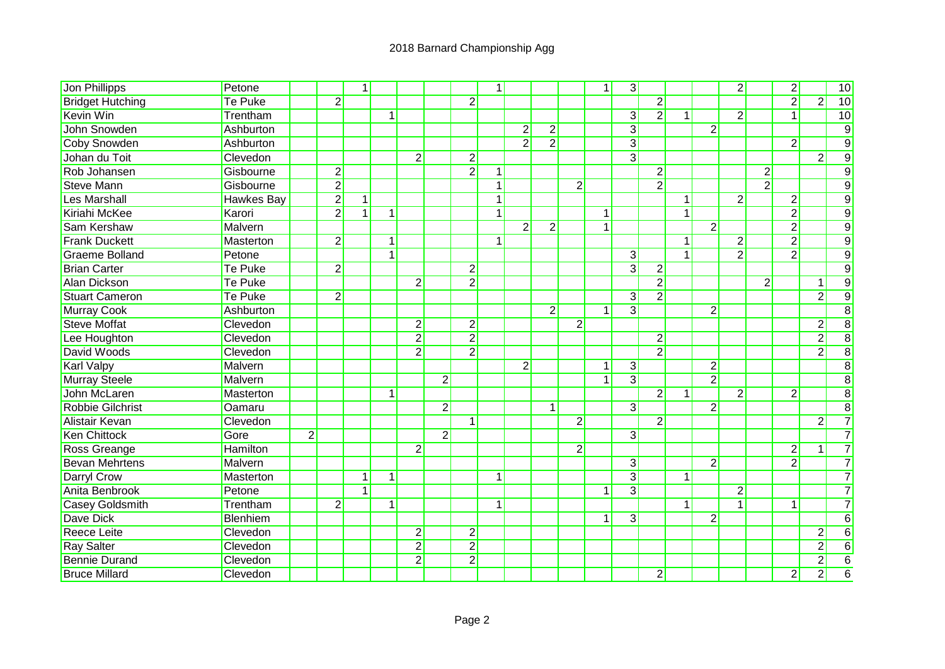| Jon Phillipps           | Petone            |                |                | $\mathbf{1}$   |              |                  |                |                | $\mathbf{1}$ |                |                |                | $\mathbf{1}$ | $\overline{3}$ |                |              |                         | $\overline{2}$ |                | $\overline{2}$ |                | 10              |
|-------------------------|-------------------|----------------|----------------|----------------|--------------|------------------|----------------|----------------|--------------|----------------|----------------|----------------|--------------|----------------|----------------|--------------|-------------------------|----------------|----------------|----------------|----------------|-----------------|
| <b>Bridget Hutching</b> | <b>Te Puke</b>    |                | $\overline{2}$ |                |              |                  |                | $\overline{2}$ |              |                |                |                |              |                | $\overline{2}$ |              |                         |                |                | $\overline{2}$ | $\overline{2}$ | 10              |
| <b>Kevin Win</b>        | Trentham          |                |                |                | $\mathbf{1}$ |                  |                |                |              |                |                |                |              | $\overline{3}$ | $\overline{2}$ | $\mathbf{1}$ |                         | $\overline{2}$ |                | $\overline{1}$ |                | $\overline{10}$ |
| <b>John Snowden</b>     | Ashburton         |                |                |                |              |                  |                |                |              | $\overline{2}$ | $\overline{2}$ |                |              | $\overline{3}$ |                |              | $\overline{2}$          |                |                |                |                | $\overline{9}$  |
| <b>Coby Snowden</b>     | Ashburton         |                |                |                |              |                  |                |                |              | $\overline{2}$ | $\overline{2}$ |                |              | $\overline{3}$ |                |              |                         |                |                | $\overline{2}$ |                | $\overline{9}$  |
| Johan du Toit           | Clevedon          |                |                |                |              | $\overline{2}$   |                | $\overline{2}$ |              |                |                |                |              | $\overline{3}$ |                |              |                         |                |                |                | $\overline{2}$ | $\overline{9}$  |
| Rob Johansen            | Gisbourne         |                | $\overline{2}$ |                |              |                  |                | $\overline{2}$ | 1            |                |                |                |              |                | $\overline{2}$ |              |                         |                | $\overline{2}$ |                |                | $\overline{9}$  |
| <b>Steve Mann</b>       | Gisbourne         |                | $\overline{2}$ |                |              |                  |                |                | $\mathbf{1}$ |                |                | $\overline{2}$ |              |                | $\overline{2}$ |              |                         |                | $\overline{2}$ |                |                | $\overline{9}$  |
| Les Marshall            | <b>Hawkes Bay</b> |                | $\overline{2}$ | $\mathbf 1$    |              |                  |                |                | $\mathbf{1}$ |                |                |                |              |                |                |              |                         | $\overline{2}$ |                | $\overline{2}$ |                | $\overline{9}$  |
| Kiriahi McKee           | Karori            |                | $\overline{2}$ | $\mathbf 1$    | $\mathbf{1}$ |                  |                |                | $\mathbf{1}$ |                |                |                | 1            |                |                |              |                         |                |                | $\overline{2}$ |                | $\overline{9}$  |
| <b>Sam Kershaw</b>      | Malvern           |                |                |                |              |                  |                |                |              | $\overline{2}$ | $\overline{2}$ |                | $\mathbf{1}$ |                |                |              | $\overline{2}$          |                |                | $\overline{2}$ |                | $\overline{9}$  |
| <b>Frank Duckett</b>    | Masterton         |                | $\overline{2}$ |                | $\mathbf{1}$ |                  |                |                | 1            |                |                |                |              |                |                | $\mathbf{1}$ |                         | $\overline{2}$ |                | $\overline{2}$ |                | $\overline{9}$  |
| <b>Graeme Bolland</b>   | Petone            |                |                |                | $\mathbf{1}$ |                  |                |                |              |                |                |                |              | 3              |                | $\mathbf{1}$ |                         | $\overline{2}$ |                | $\overline{2}$ |                | $\overline{9}$  |
| <b>Brian Carter</b>     | <b>Te Puke</b>    |                | $\overline{2}$ |                |              |                  |                | $\overline{2}$ |              |                |                |                |              | $\overline{3}$ | $\overline{2}$ |              |                         |                |                |                |                | $\overline{9}$  |
| <b>Alan Dickson</b>     | <b>Te Puke</b>    |                |                |                |              | $\overline{2}$   |                | $\overline{2}$ |              |                |                |                |              |                | $\overline{2}$ |              |                         |                | $\overline{2}$ |                | 1              | $\overline{9}$  |
| <b>Stuart Cameron</b>   | <b>Te Puke</b>    |                | $\overline{2}$ |                |              |                  |                |                |              |                |                |                |              | 3              | $\overline{2}$ |              |                         |                |                |                | $\overline{2}$ | $\overline{9}$  |
| <b>Murray Cook</b>      | Ashburton         |                |                |                |              |                  |                |                |              |                | $\mathbf{2}$   |                |              | $\overline{3}$ |                |              | $\overline{\mathbf{c}}$ |                |                |                |                | $\overline{8}$  |
| <b>Steve Moffat</b>     | Clevedon          |                |                |                |              | $\boldsymbol{2}$ |                | $\overline{2}$ |              |                |                | $\overline{2}$ |              |                |                |              |                         |                |                |                | $\mathbf 2$    | $\overline{8}$  |
| Lee Houghton            | Clevedon          |                |                |                |              | $\overline{2}$   |                | $\overline{2}$ |              |                |                |                |              |                | $\overline{2}$ |              |                         |                |                |                | $\overline{2}$ | $\overline{8}$  |
| David Woods             | Clevedon          |                |                |                |              | $\overline{2}$   |                | $\overline{2}$ |              |                |                |                |              |                | $\overline{2}$ |              |                         |                |                |                | $\overline{2}$ | $\overline{8}$  |
| <b>Karl Valpy</b>       | <b>Malvern</b>    |                |                |                |              |                  |                |                |              | $\overline{2}$ |                |                | 1            | $\overline{3}$ |                |              | $\overline{2}$          |                |                |                |                | $\overline{8}$  |
| <b>Murray Steele</b>    | <b>Malvern</b>    |                |                |                |              |                  | $\overline{2}$ |                |              |                |                |                | 1            | $\overline{3}$ |                |              | $\overline{2}$          |                |                |                |                | $\overline{8}$  |
| John McLaren            | Masterton         |                |                |                | 1            |                  |                |                |              |                |                |                |              |                | $\overline{2}$ | $\mathbf{1}$ |                         | $\overline{2}$ |                | $\overline{2}$ |                | $\overline{8}$  |
| <b>Robbie Gilchrist</b> | <b>Oamaru</b>     |                |                |                |              |                  | $\overline{2}$ |                |              |                | $\vert$ 1      |                |              | $\overline{3}$ |                |              | $\overline{2}$          |                |                |                |                | $\overline{8}$  |
| Alistair Kevan          | Clevedon          |                |                |                |              |                  |                | -1             |              |                |                | $\overline{2}$ |              |                | $\overline{2}$ |              |                         |                |                |                | $\overline{2}$ | $\overline{7}$  |
| <b>Ken Chittock</b>     | Gore              | $\overline{2}$ |                |                |              |                  | $\overline{2}$ |                |              |                |                |                |              | 3              |                |              |                         |                |                |                |                | $\overline{7}$  |
| Ross Greange            | Hamilton          |                |                |                |              | $\overline{2}$   |                |                |              |                |                | $\overline{2}$ |              |                |                |              |                         |                |                | $\overline{2}$ | $\mathbf{1}$   | $\overline{7}$  |
| <b>Bevan Mehrtens</b>   | Malvern           |                |                |                |              |                  |                |                |              |                |                |                |              | 3              |                |              | $\overline{2}$          |                |                | $\overline{2}$ |                | $\overline{7}$  |
| Darryl Crow             | Masterton         |                |                | 1              | 1            |                  |                |                | 1            |                |                |                |              | $\overline{3}$ |                | 1            |                         |                |                |                |                | $\overline{7}$  |
| Anita Benbrook          | Petone            |                |                | $\overline{1}$ |              |                  |                |                |              |                |                |                | $\mathbf{1}$ | $\overline{3}$ |                |              |                         | $\overline{2}$ |                |                |                | $\overline{7}$  |
| <b>Casey Goldsmith</b>  | Trentham          |                | $\overline{2}$ |                | 1            |                  |                |                | 1            |                |                |                |              |                |                | 1            |                         | 1              |                | 1              |                | $\overline{7}$  |
| <b>Dave Dick</b>        | Blenhiem          |                |                |                |              |                  |                |                |              |                |                |                | 1            | 3              |                |              | $\overline{2}$          |                |                |                |                | $\overline{6}$  |
| <b>Reece Leite</b>      | Clevedon          |                |                |                |              | $\overline{2}$   |                | $\overline{2}$ |              |                |                |                |              |                |                |              |                         |                |                |                | $\overline{2}$ | $\overline{6}$  |
| <b>Ray Salter</b>       | Clevedon          |                |                |                |              | $\overline{2}$   |                | $\overline{2}$ |              |                |                |                |              |                |                |              |                         |                |                |                | $\mathbf 2$    | $\overline{6}$  |
| <b>Bennie Durand</b>    | Clevedon          |                |                |                |              | $\overline{2}$   |                | $\overline{2}$ |              |                |                |                |              |                |                |              |                         |                |                |                | $\overline{2}$ | $6\phantom{1}6$ |
| <b>Bruce Millard</b>    | Clevedon          |                |                |                |              |                  |                |                |              |                |                |                |              |                | $\overline{2}$ |              |                         |                |                | $2\vert$       | $\overline{2}$ | $\overline{6}$  |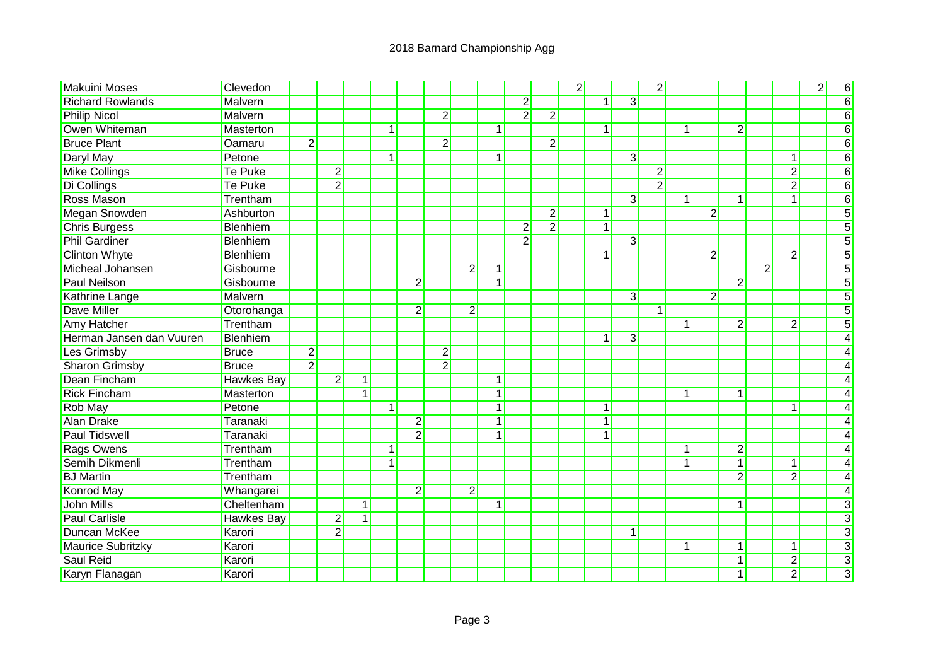| <b>Makuini Moses</b>     | Clevedon          |                |                |              |              |                |                |                |                         |                |                | $\overline{2}$ |                |                | $\overline{2}$ |              |                |                |                |                | $\overline{2}$ | 6              |
|--------------------------|-------------------|----------------|----------------|--------------|--------------|----------------|----------------|----------------|-------------------------|----------------|----------------|----------------|----------------|----------------|----------------|--------------|----------------|----------------|----------------|----------------|----------------|----------------|
| <b>Richard Rowlands</b>  | Malvern           |                |                |              |              |                |                |                |                         | $\overline{2}$ |                |                | $\mathbf{1}$   | $\overline{3}$ |                |              |                |                |                |                |                | 6              |
| <b>Philip Nicol</b>      | Malvern           |                |                |              |              |                | $\overline{2}$ |                |                         | $\overline{2}$ | $\overline{2}$ |                |                |                |                |              |                |                |                |                |                | 6              |
| Owen Whiteman            | Masterton         |                |                |              | $\mathbf{1}$ |                |                |                | $1\vert$                |                |                |                | $\mathbf{1}$   |                |                | $\vert$ 1    |                | $\overline{2}$ |                |                |                | 6              |
| <b>Bruce Plant</b>       | Oamaru            | $\overline{2}$ |                |              |              |                | $\overline{2}$ |                |                         |                | $\overline{2}$ |                |                |                |                |              |                |                |                |                |                | $\overline{6}$ |
| <b>Daryl May</b>         | Petone            |                |                |              | $\mathbf{1}$ |                |                |                | $\mathbf 1$             |                |                |                |                | $\overline{3}$ |                |              |                |                |                | 1              |                | 6              |
| <b>Mike Collings</b>     | Te Puke           |                | $\overline{2}$ |              |              |                |                |                |                         |                |                |                |                |                | $\overline{2}$ |              |                |                |                | $\overline{2}$ |                | 6              |
| Di Collings              | <b>Te Puke</b>    |                | $\overline{2}$ |              |              |                |                |                |                         |                |                |                |                |                | $\overline{2}$ |              |                |                |                | $\overline{2}$ |                | $\overline{6}$ |
| <b>Ross Mason</b>        | Trentham          |                |                |              |              |                |                |                |                         |                |                |                |                | $\overline{3}$ |                | $\mathbf{1}$ |                | $\mathbf{1}$   |                | 1              |                | 6              |
| Megan Snowden            | Ashburton         |                |                |              |              |                |                |                |                         |                | $\overline{2}$ |                | $\overline{1}$ |                |                |              | $\overline{2}$ |                |                |                |                | 5              |
| <b>Chris Burgess</b>     | <b>Blenhiem</b>   |                |                |              |              |                |                |                |                         | $\overline{2}$ | $\overline{2}$ |                | 1              |                |                |              |                |                |                |                |                | 5              |
| <b>Phil Gardiner</b>     | <b>Blenhiem</b>   |                |                |              |              |                |                |                |                         | $\overline{2}$ |                |                |                | $\overline{3}$ |                |              |                |                |                |                |                | 5              |
| <b>Clinton Whyte</b>     | Blenhiem          |                |                |              |              |                |                |                |                         |                |                |                | 1              |                |                |              | $\overline{2}$ |                |                | $\overline{2}$ |                |                |
| Micheal Johansen         | Gisbourne         |                |                |              |              |                |                | $\overline{2}$ | $\mathbf{1}^*$          |                |                |                |                |                |                |              |                |                | $\overline{2}$ |                |                | 5              |
| <b>Paul Neilson</b>      | Gisbourne         |                |                |              |              | $\overline{2}$ |                |                | 1                       |                |                |                |                |                |                |              |                | $\overline{2}$ |                |                |                |                |
| <b>Kathrine Lange</b>    | Malvern           |                |                |              |              |                |                |                |                         |                |                |                |                | 3              |                |              | $\overline{2}$ |                |                |                |                |                |
| <b>Dave Miller</b>       | Otorohanga        |                |                |              |              | $\overline{2}$ |                | $\overline{2}$ |                         |                |                |                |                |                | 1              |              |                |                |                |                |                |                |
| <b>Amy Hatcher</b>       | Trentham          |                |                |              |              |                |                |                |                         |                |                |                |                |                |                | 1            |                | $\overline{2}$ |                | $\overline{2}$ |                | 5              |
| Herman Jansen dan Vuuren | <b>Blenhiem</b>   |                |                |              |              |                |                |                |                         |                |                |                | 1              | $\overline{3}$ |                |              |                |                |                |                |                |                |
| Les Grimsby              | <b>Bruce</b>      | $\overline{2}$ |                |              |              |                | $\overline{2}$ |                |                         |                |                |                |                |                |                |              |                |                |                |                |                |                |
| <b>Sharon Grimsby</b>    | <b>Bruce</b>      | $\overline{2}$ |                |              |              |                | $\overline{2}$ |                |                         |                |                |                |                |                |                |              |                |                |                |                |                |                |
| <b>Dean Fincham</b>      | <b>Hawkes Bay</b> |                | $\overline{2}$ | $\mathbf{1}$ |              |                |                |                | $\mathbf{1}^*$          |                |                |                |                |                |                |              |                |                |                |                |                |                |
| <b>Rick Fincham</b>      | Masterton         |                |                | $\mathbf 1$  |              |                |                |                | 1                       |                |                |                |                |                |                | 1            |                | $\mathbf{1}$   |                |                |                |                |
| <b>Rob May</b>           | Petone            |                |                |              | $\mathbf 1$  |                |                |                | 1                       |                |                |                | 1              |                |                |              |                |                |                | 1              |                |                |
| <b>Alan Drake</b>        | Taranaki          |                |                |              |              | $\overline{2}$ |                |                | $\mathbf{1}$            |                |                |                | 1              |                |                |              |                |                |                |                |                |                |
| <b>Paul Tidswell</b>     | Taranaki          |                |                |              |              | $\overline{2}$ |                |                | 1                       |                |                |                | 1              |                |                |              |                |                |                |                |                |                |
| <b>Rags Owens</b>        | Trentham          |                |                |              | $\mathbf{1}$ |                |                |                |                         |                |                |                |                |                |                | 1            |                | $\overline{2}$ |                |                |                |                |
| Semih Dikmenli           | Trentham          |                |                |              | 1            |                |                |                |                         |                |                |                |                |                |                |              |                | $\mathbf{1}$   |                | $\mathbf{1}$   |                |                |
| <b>BJ</b> Martin         | Trentham          |                |                |              |              |                |                |                |                         |                |                |                |                |                |                |              |                | $\overline{2}$ |                | $\overline{2}$ |                |                |
| <b>Konrod May</b>        | Whangarei         |                |                |              |              | $\overline{2}$ |                | $\overline{2}$ |                         |                |                |                |                |                |                |              |                |                |                |                |                |                |
| <b>John Mills</b>        | Cheltenham        |                |                | $\mathbf{1}$ |              |                |                |                | $\overline{\mathbf{A}}$ |                |                |                |                |                |                |              |                | 1              |                |                |                | 3              |
| <b>Paul Carlisle</b>     | Hawkes Bay        |                | $\overline{c}$ | 1            |              |                |                |                |                         |                |                |                |                |                |                |              |                |                |                |                |                | 3              |
| <b>Duncan McKee</b>      | Karori            |                | $\overline{2}$ |              |              |                |                |                |                         |                |                |                |                |                |                |              |                |                |                |                |                | 3              |
| Maurice Subritzky        | Karori            |                |                |              |              |                |                |                |                         |                |                |                |                |                |                | 1            |                | 1              |                | 1              |                | $\overline{3}$ |
| <b>Saul Reid</b>         | Karori            |                |                |              |              |                |                |                |                         |                |                |                |                |                |                |              |                | $\mathbf{1}$   |                | $\overline{2}$ |                | $\overline{3}$ |
| Karyn Flanagan           | Karori            |                |                |              |              |                |                |                |                         |                |                |                |                |                |                |              |                | $\mathbf{1}$   |                | $\overline{2}$ |                | $\overline{3}$ |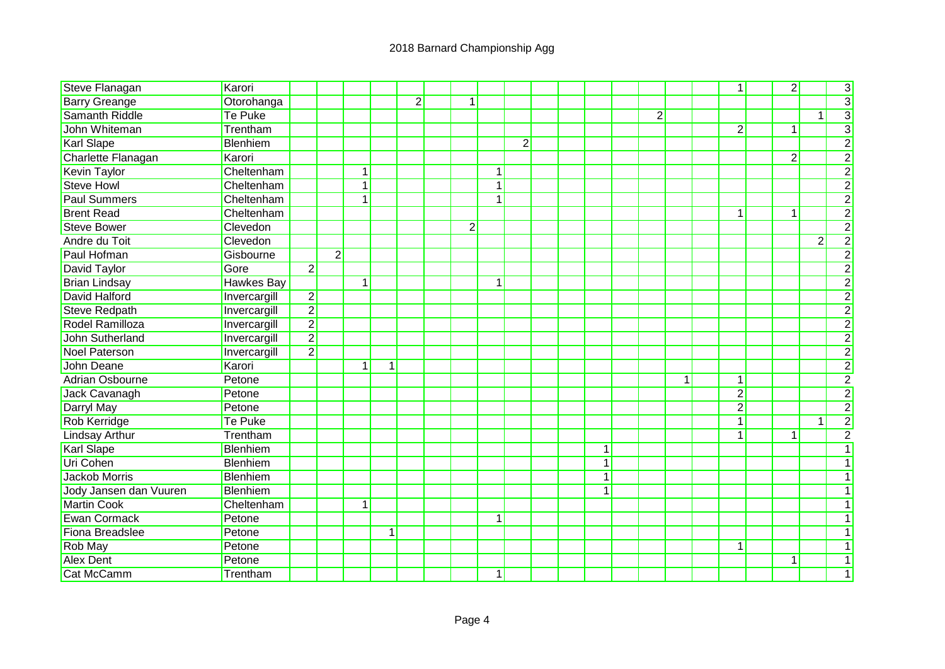| <b>Steve Flanagan</b>     | Karori            |                |                |              |   |                |                |              |                |  |              |                |           | 1              | $\overline{2}$ |                | $\overline{3}$ |
|---------------------------|-------------------|----------------|----------------|--------------|---|----------------|----------------|--------------|----------------|--|--------------|----------------|-----------|----------------|----------------|----------------|----------------|
| <b>Barry Greange</b>      | Otorohanga        |                |                |              |   | $\overline{2}$ | $\overline{1}$ |              |                |  |              |                |           |                |                |                | $\overline{3}$ |
| <b>Samanth Riddle</b>     | <b>Te Puke</b>    |                |                |              |   |                |                |              |                |  |              | $\overline{2}$ |           |                |                | 1              | $\overline{3}$ |
| John Whiteman             | Trentham          |                |                |              |   |                |                |              |                |  |              |                |           | $\overline{2}$ | $\mathbf{1}$   |                | $\overline{3}$ |
| <b>Karl Slape</b>         | <b>Blenhiem</b>   |                |                |              |   |                |                |              | $\overline{2}$ |  |              |                |           |                |                |                | $\overline{2}$ |
| <b>Charlette Flanagan</b> | Karori            |                |                |              |   |                |                |              |                |  |              |                |           |                | $\overline{2}$ |                | $\overline{2}$ |
| <b>Kevin Taylor</b>       | Cheltenham        |                |                | $\mathbf{1}$ |   |                |                | 1            |                |  |              |                |           |                |                |                | $\overline{2}$ |
| <b>Steve Howl</b>         | Cheltenham        |                |                | $\mathbf{1}$ |   |                |                | $\mathbf{1}$ |                |  |              |                |           |                |                |                | $\overline{2}$ |
| <b>Paul Summers</b>       | Cheltenham        |                |                | 1            |   |                |                | 1            |                |  |              |                |           |                |                |                | $\overline{2}$ |
| <b>Brent Read</b>         | Cheltenham        |                |                |              |   |                |                |              |                |  |              |                |           | $\mathbf 1$    | 1              |                | $\overline{2}$ |
| <b>Steve Bower</b>        | Clevedon          |                |                |              |   |                | $\overline{2}$ |              |                |  |              |                |           |                |                |                | $\overline{2}$ |
| Andre du Toit             | Clevedon          |                |                |              |   |                |                |              |                |  |              |                |           |                |                | $\overline{2}$ | $\overline{2}$ |
| <b>Paul Hofman</b>        | Gisbourne         |                | $\overline{2}$ |              |   |                |                |              |                |  |              |                |           |                |                |                | $\overline{2}$ |
| <b>David Taylor</b>       | Gore              | $\overline{2}$ |                |              |   |                |                |              |                |  |              |                |           |                |                |                | $\overline{2}$ |
| <b>Brian Lindsay</b>      | <b>Hawkes Bay</b> |                |                | 1            |   |                |                | $1\vert$     |                |  |              |                |           |                |                |                | $\overline{2}$ |
| <b>David Halford</b>      | Invercargill      | $\overline{2}$ |                |              |   |                |                |              |                |  |              |                |           |                |                |                | $\overline{c}$ |
| <b>Steve Redpath</b>      | Invercargill      | $\overline{2}$ |                |              |   |                |                |              |                |  |              |                |           |                |                |                | $\overline{c}$ |
| Rodel Ramilloza           | Invercargill      | $\overline{2}$ |                |              |   |                |                |              |                |  |              |                |           |                |                |                | $\overline{2}$ |
| <b>John Sutherland</b>    | Invercargill      | $\overline{2}$ |                |              |   |                |                |              |                |  |              |                |           |                |                |                | $\overline{2}$ |
| <b>Noel Paterson</b>      | Invercargill      | $\overline{2}$ |                |              |   |                |                |              |                |  |              |                |           |                |                |                | $\frac{2}{2}$  |
| <b>John Deane</b>         | Karori            |                |                | 1            | 1 |                |                |              |                |  |              |                |           |                |                |                |                |
| <b>Adrian Osbourne</b>    | Petone            |                |                |              |   |                |                |              |                |  |              |                | $\vert$ 1 | $\mathbf{1}$   |                |                |                |
| Jack Cavanagh             | Petone            |                |                |              |   |                |                |              |                |  |              |                |           | $\overline{2}$ |                |                | $\frac{2}{2}$  |
| <b>Darryl May</b>         | Petone            |                |                |              |   |                |                |              |                |  |              |                |           | $\overline{2}$ |                |                |                |
| <b>Rob Kerridge</b>       | Te Puke           |                |                |              |   |                |                |              |                |  |              |                |           | $\mathbf{1}$   |                | $\mathbf 1$    | $\overline{2}$ |
| <b>Lindsay Arthur</b>     | Trentham          |                |                |              |   |                |                |              |                |  |              |                |           | $\mathbf{1}$   | $\mathbf{1}$   |                | $\overline{2}$ |
| <b>Karl Slape</b>         | Blenhiem          |                |                |              |   |                |                |              |                |  | 1            |                |           |                |                |                | $\overline{1}$ |
| Uri Cohen                 | Blenhiem          |                |                |              |   |                |                |              |                |  | $\mathbf{1}$ |                |           |                |                |                | 1              |
| Jackob Morris             | Blenhiem          |                |                |              |   |                |                |              |                |  | 1            |                |           |                |                |                |                |
| Jody Jansen dan Vuuren    | Blenhiem          |                |                |              |   |                |                |              |                |  | 1            |                |           |                |                |                |                |
| <b>Martin Cook</b>        | Cheltenham        |                |                | $\mathbf{1}$ |   |                |                |              |                |  |              |                |           |                |                |                |                |
| <b>Ewan Cormack</b>       | Petone            |                |                |              |   |                |                | 1            |                |  |              |                |           |                |                |                |                |
| Fiona Breadslee           | Petone            |                |                |              | 1 |                |                |              |                |  |              |                |           |                |                |                |                |
| Rob May                   | Petone            |                |                |              |   |                |                |              |                |  |              |                |           | 1              |                |                |                |
| <b>Alex Dent</b>          | Petone            |                |                |              |   |                |                |              |                |  |              |                |           |                | 1              |                | 1              |
| Cat McCamm                | Trentham          |                |                |              |   |                |                | 1            |                |  |              |                |           |                |                |                | 1              |